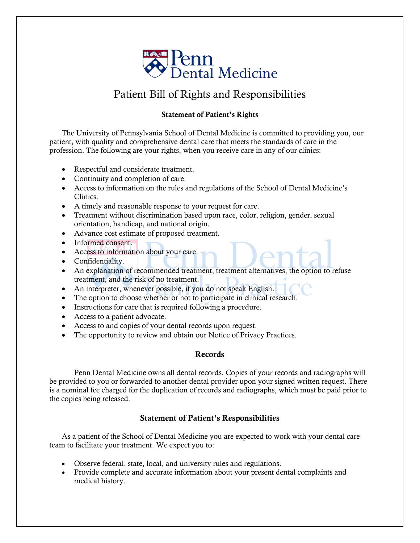

# Patient Bill of Rights and Responsibilities

### Statement of Patient's Rights

The University of Pennsylvania School of Dental Medicine is committed to providing you, our patient, with quality and comprehensive dental care that meets the standards of care in the profession. The following are your rights, when you receive care in any of our clinics:

- Respectful and considerate treatment.
- Continuity and completion of care.
- Access to information on the rules and regulations of the School of Dental Medicine's Clinics.
- A timely and reasonable response to your request for care.
- Treatment without discrimination based upon race, color, religion, gender, sexual orientation, handicap, and national origin.
- Advance cost estimate of proposed treatment.
- Informed consent.
- Access to information about your care.
- Confidentiality.
- An explanation of recommended treatment, treatment alternatives, the option to refuse treatment, and the risk of no treatment.
- An interpreter, whenever possible, if you do not speak English.
- The option to choose whether or not to participate in clinical research.
- Instructions for care that is required following a procedure.
- Access to a patient advocate.
- Access to and copies of your dental records upon request.
- The opportunity to review and obtain our Notice of Privacy Practices.

# Records

Penn Dental Medicine owns all dental records. Copies of your records and radiographs will be provided to you or forwarded to another dental provider upon your signed written request. There is a nominal fee charged for the duplication of records and radiographs, which must be paid prior to the copies being released.

# Statement of Patient's Responsibilities

As a patient of the School of Dental Medicine you are expected to work with your dental care team to facilitate your treatment. We expect you to:

- Observe federal, state, local, and university rules and regulations.
- Provide complete and accurate information about your present dental complaints and medical history.